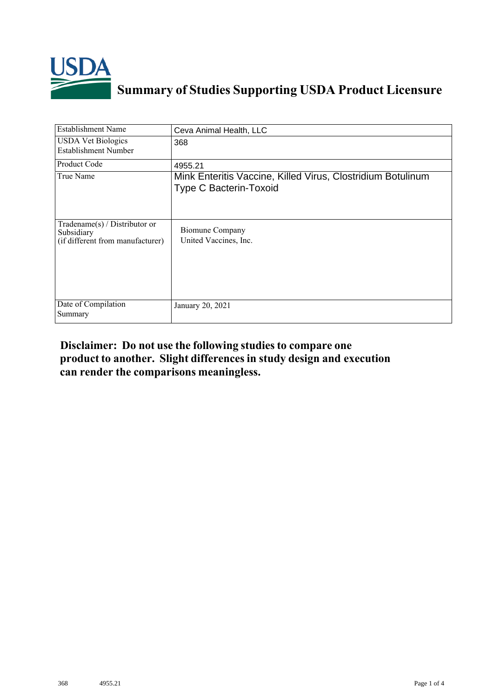

## **Summary of Studies Supporting USDA Product Licensure**

| <b>Establishment Name</b>                                                          | Ceva Animal Health, LLC                                                                      |
|------------------------------------------------------------------------------------|----------------------------------------------------------------------------------------------|
| <b>USDA Vet Biologics</b><br><b>Establishment Number</b>                           | 368                                                                                          |
| Product Code                                                                       | 4955.21                                                                                      |
| True Name                                                                          | Mink Enteritis Vaccine, Killed Virus, Clostridium Botulinum<br><b>Type C Bacterin-Toxoid</b> |
| Tradename $(s)$ / Distributor or<br>Subsidiary<br>(if different from manufacturer) | <b>Biomune Company</b><br>United Vaccines, Inc.                                              |
| Date of Compilation<br>Summary                                                     | January 20, 2021                                                                             |

## **Disclaimer: Do not use the following studiesto compare one product to another. Slight differencesin study design and execution can render the comparisons meaningless.**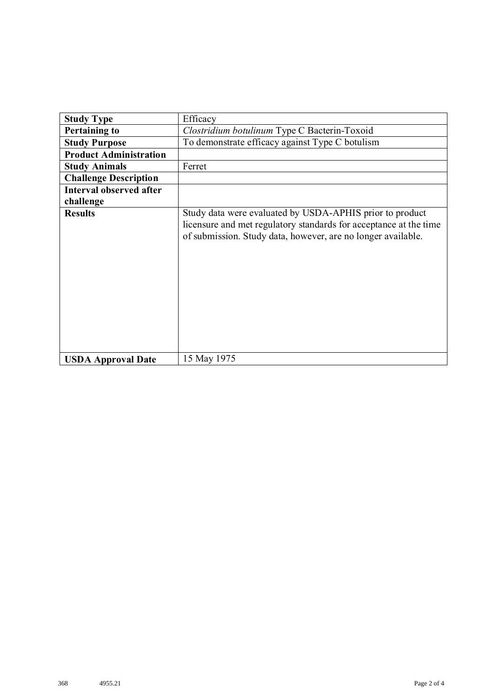| <b>Study Type</b>              | Efficacy                                                                                                                                                                                      |
|--------------------------------|-----------------------------------------------------------------------------------------------------------------------------------------------------------------------------------------------|
| <b>Pertaining to</b>           | Clostridium botulinum Type C Bacterin-Toxoid                                                                                                                                                  |
|                                |                                                                                                                                                                                               |
| <b>Study Purpose</b>           | To demonstrate efficacy against Type C botulism                                                                                                                                               |
| <b>Product Administration</b>  |                                                                                                                                                                                               |
| <b>Study Animals</b>           | Ferret                                                                                                                                                                                        |
| <b>Challenge Description</b>   |                                                                                                                                                                                               |
| <b>Interval observed after</b> |                                                                                                                                                                                               |
| challenge                      |                                                                                                                                                                                               |
| <b>Results</b>                 | Study data were evaluated by USDA-APHIS prior to product<br>licensure and met regulatory standards for acceptance at the time<br>of submission. Study data, however, are no longer available. |
| <b>USDA Approval Date</b>      | 15 May 1975                                                                                                                                                                                   |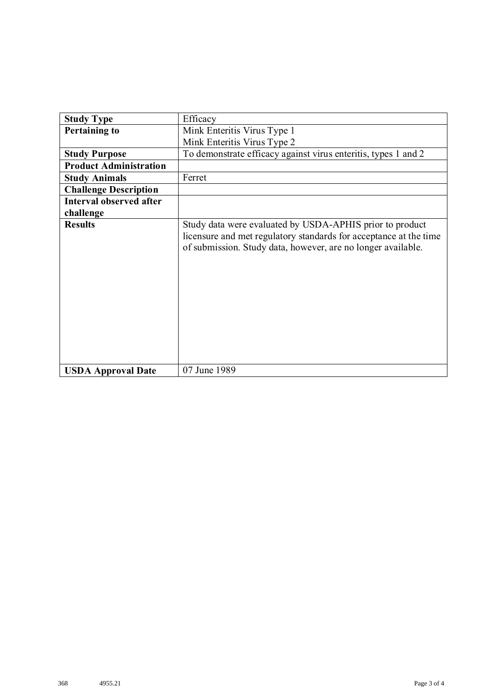| <b>Study Type</b>             | Efficacy                                                                                                                                                                                      |
|-------------------------------|-----------------------------------------------------------------------------------------------------------------------------------------------------------------------------------------------|
| <b>Pertaining to</b>          | Mink Enteritis Virus Type 1                                                                                                                                                                   |
|                               | Mink Enteritis Virus Type 2                                                                                                                                                                   |
| <b>Study Purpose</b>          | To demonstrate efficacy against virus enteritis, types 1 and 2                                                                                                                                |
| <b>Product Administration</b> |                                                                                                                                                                                               |
| <b>Study Animals</b>          | Ferret                                                                                                                                                                                        |
| <b>Challenge Description</b>  |                                                                                                                                                                                               |
| Interval observed after       |                                                                                                                                                                                               |
| challenge                     |                                                                                                                                                                                               |
| <b>Results</b>                | Study data were evaluated by USDA-APHIS prior to product<br>licensure and met regulatory standards for acceptance at the time<br>of submission. Study data, however, are no longer available. |
| <b>USDA Approval Date</b>     | 07 June 1989                                                                                                                                                                                  |